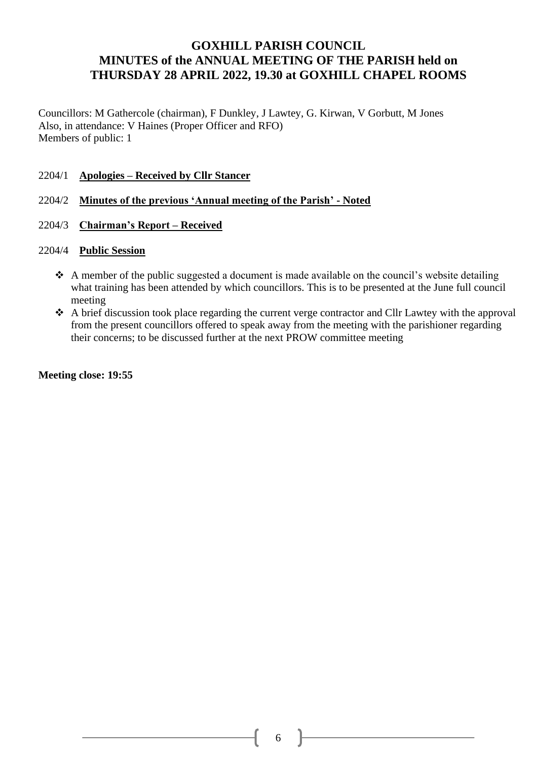## **GOXHILL PARISH COUNCIL MINUTES of the ANNUAL MEETING OF THE PARISH held on THURSDAY 28 APRIL 2022, 19.30 at GOXHILL CHAPEL ROOMS**

Councillors: M Gathercole (chairman), F Dunkley, J Lawtey, G. Kirwan, V Gorbutt, M Jones Also, in attendance: V Haines (Proper Officer and RFO) Members of public: 1

- 2204/1 **Apologies – Received by Cllr Stancer**
- 2204/2 **Minutes of the previous 'Annual meeting of the Parish' - Noted**
- 2204/3 **Chairman's Report – Received**

## 2204/4 **Public Session**

- ❖ A member of the public suggested a document is made available on the council's website detailing what training has been attended by which councillors. This is to be presented at the June full council meeting
- ❖ A brief discussion took place regarding the current verge contractor and Cllr Lawtey with the approval from the present councillors offered to speak away from the meeting with the parishioner regarding their concerns; to be discussed further at the next PROW committee meeting

**Meeting close: 19:55**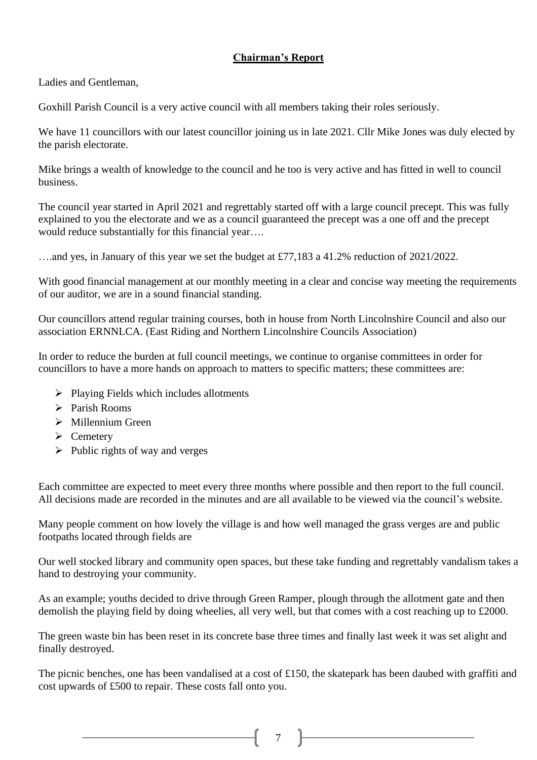## **Chairman's Report**

Ladies and Gentleman,

Goxhill Parish Council is a very active council with all members taking their roles seriously.

We have 11 councillors with our latest councillor joining us in late 2021. Cllr Mike Jones was duly elected by the parish electorate.

Mike brings a wealth of knowledge to the council and he too is very active and has fitted in well to council business.

The council year started in April 2021 and regrettably started off with a large council precept. This was fully explained to you the electorate and we as a council guaranteed the precept was a one off and the precept would reduce substantially for this financial year….

….and yes, in January of this year we set the budget at £77,183 a 41.2% reduction of 2021/2022.

With good financial management at our monthly meeting in a clear and concise way meeting the requirements of our auditor, we are in a sound financial standing.

Our councillors attend regular training courses, both in house from North Lincolnshire Council and also our association ERNNLCA. (East Riding and Northern Lincolnshire Councils Association)

In order to reduce the burden at full council meetings, we continue to organise committees in order for councillors to have a more hands on approach to matters to specific matters; these committees are:

- ➢ Playing Fields which includes allotments
- ➢ Parish Rooms
- ➢ Millennium Green
- ➢ Cemetery
- $\triangleright$  Public rights of way and verges

Each committee are expected to meet every three months where possible and then report to the full council. All decisions made are recorded in the minutes and are all available to be viewed via the council's website.

Many people comment on how lovely the village is and how well managed the grass verges are and public footpaths located through fields are

Our well stocked library and community open spaces, but these take funding and regrettably vandalism takes a hand to destroying your community.

As an example; youths decided to drive through Green Ramper, plough through the allotment gate and then demolish the playing field by doing wheelies, all very well, but that comes with a cost reaching up to £2000.

The green waste bin has been reset in its concrete base three times and finally last week it was set alight and finally destroyed.

The picnic benches, one has been vandalised at a cost of £150, the skatepark has been daubed with graffiti and cost upwards of £500 to repair. These costs fall onto you.

 $\begin{array}{|c|c|c|c|c|}\n\hline\n\text{ 7} & \text{ } \end{array}$